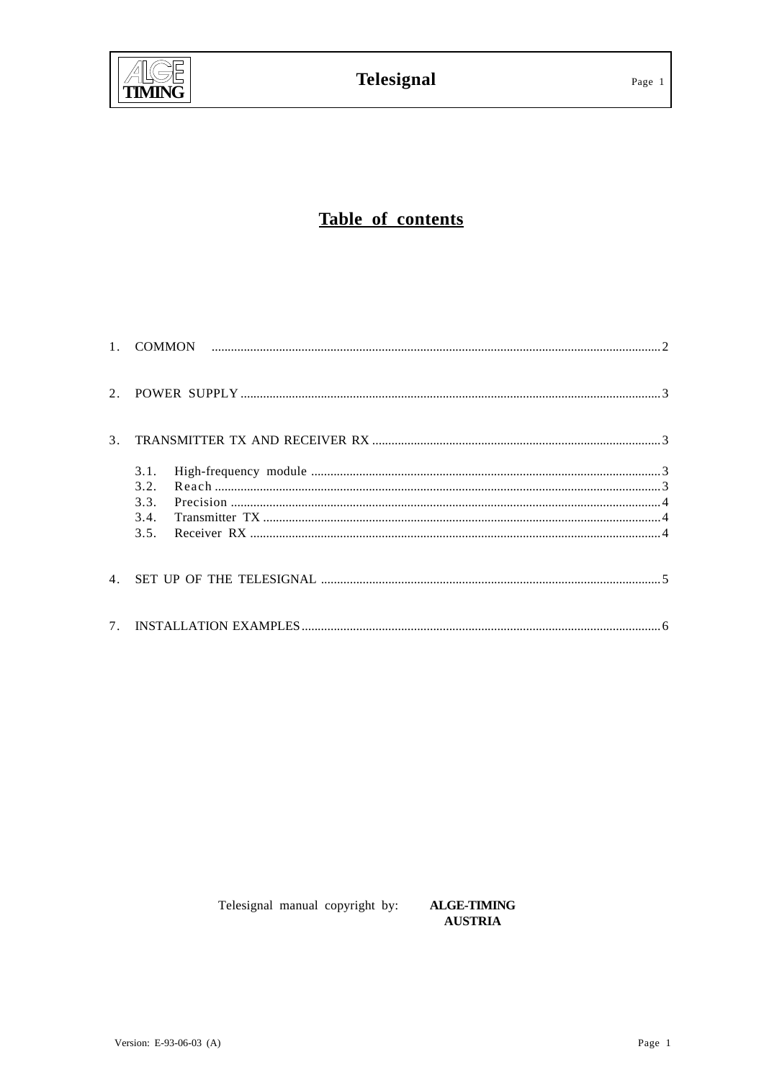

# Table of contents

| 3.1.<br>3.2.<br>3.3.<br>3.4. |  |
|------------------------------|--|
|                              |  |
|                              |  |

Telesignal manual copyright by:

**ALGE-TIMING AUSTRIA**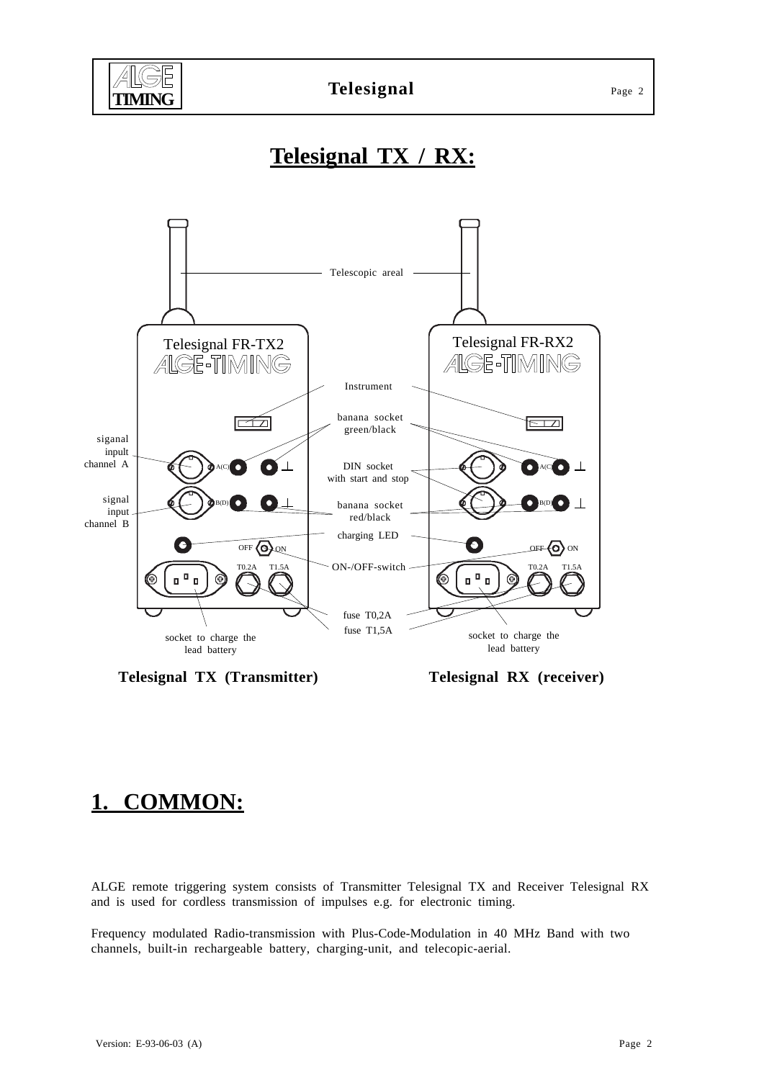

# **Telesignal TX / RX:**



**Telesignal TX (Transmitter) Telesignal RX (receiver)**

# **1. COMMON:**

ALGE remote triggering system consists of Transmitter Telesignal TX and Receiver Telesignal RX and is used for cordless transmission of impulses e.g. for electronic timing.

Frequency modulated Radio-transmission with Plus-Code-Modulation in 40 MHz Band with two channels, built-in rechargeable battery, charging-unit, and telecopic-aerial.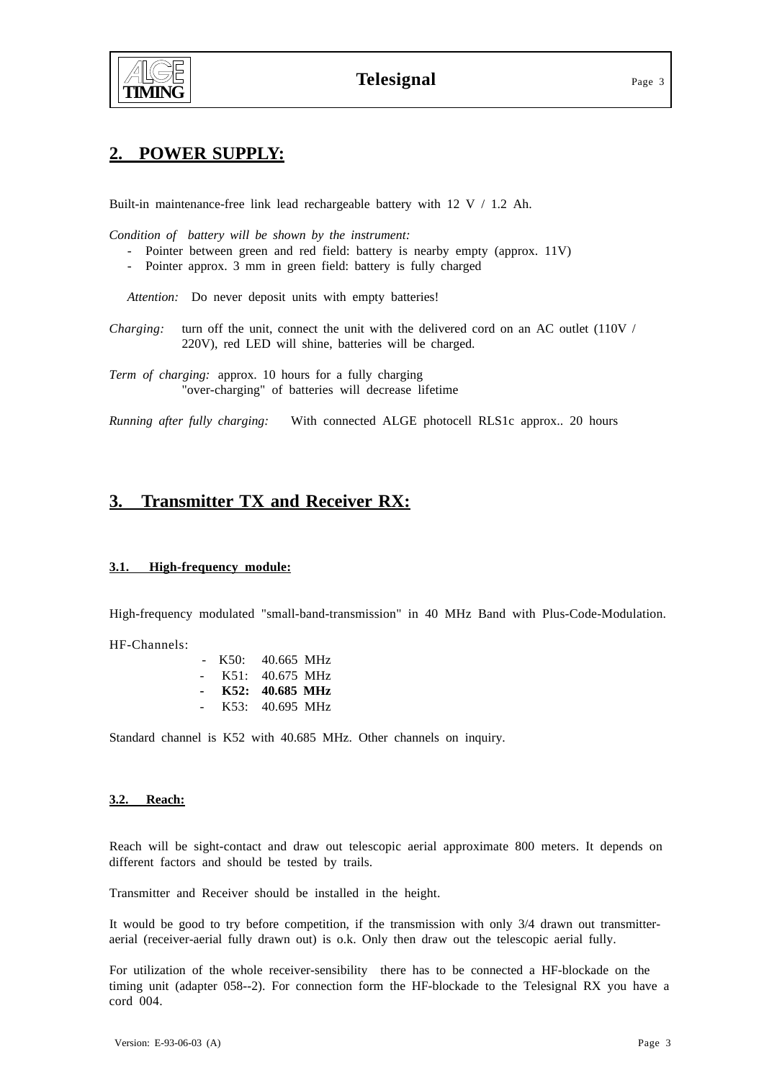

## **2. POWER SUPPLY:**

Built-in maintenance-free link lead rechargeable battery with 12 V / 1.2 Ah.

*Condition of battery will be shown by the instrument:*

- Pointer between green and red field: battery is nearby empty (approx. 11V)
- Pointer approx. 3 mm in green field: battery is fully charged

Attention: Do never deposit units with empty batteries!

*Charging:* turn off the unit, connect the unit with the delivered cord on an AC outlet (110V / 220V), red LED will shine, batteries will be charged.

*Term of charging:* approx. 10 hours for a fully charging "over-charging" of batteries will decrease lifetime

*Running after fully charging:* With connected ALGE photocell RLS1c approx.. 20 hours

### **3. Transmitter TX and Receiver RX:**

#### **3.1. High-frequency module:**

High-frequency modulated "small-band-transmission" in 40 MHz Band with Plus-Code-Modulation.

HF-Channels:

| $\sim$                   | K50: | 40.665 MHz      |  |
|--------------------------|------|-----------------|--|
| $\sim$                   |      | K51: 40.675 MHz |  |
|                          |      |                 |  |
| $\overline{\phantom{0}}$ |      | K52: 40.685 MHz |  |

Standard channel is K52 with 40.685 MHz. Other channels on inquiry.

#### **3.2. Reach:**

Reach will be sight-contact and draw out telescopic aerial approximate 800 meters. It depends on different factors and should be tested by trails.

Transmitter and Receiver should be installed in the height.

It would be good to try before competition, if the transmission with only 3/4 drawn out transmitteraerial (receiver-aerial fully drawn out) is o.k. Only then draw out the telescopic aerial fully.

For utilization of the whole receiver-sensibility there has to be connected a HF-blockade on the timing unit (adapter 058--2). For connection form the HF-blockade to the Telesignal RX you have a cord 004.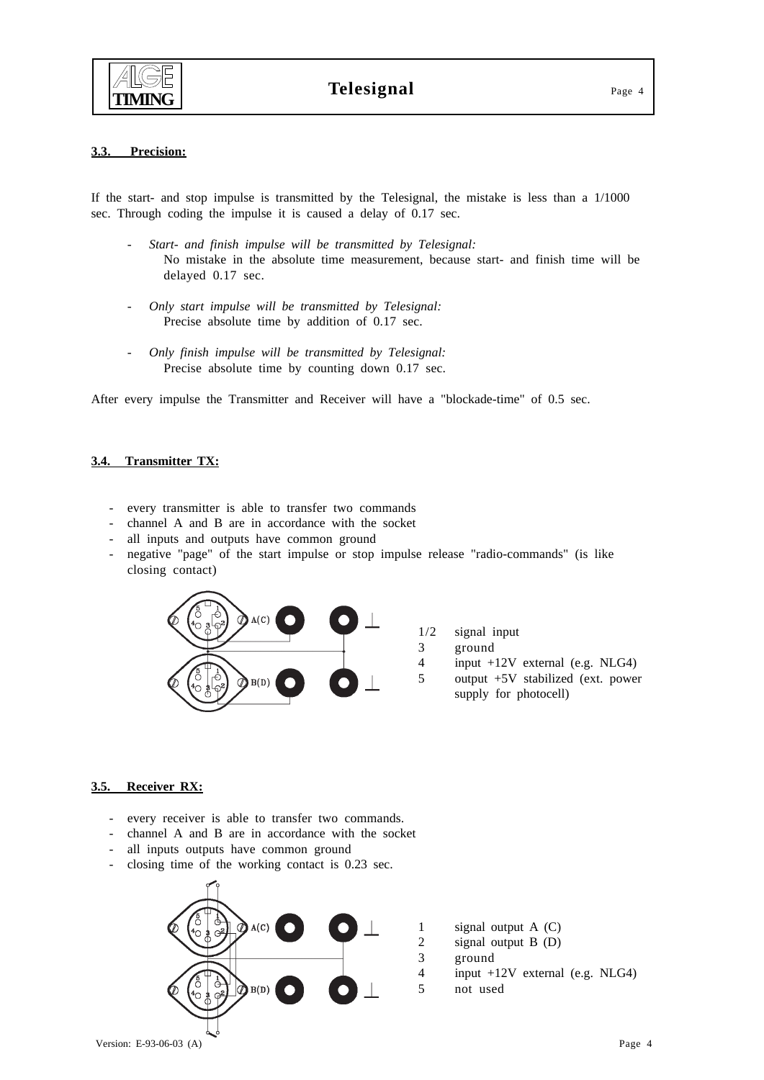

#### **3.3. Precision:**

If the start- and stop impulse is transmitted by the Telesignal, the mistake is less than a 1/1000 sec. Through coding the impulse it is caused a delay of 0.17 sec.

- *Start- and finish impulse will be transmitted by Telesignal:* No mistake in the absolute time measurement, because start- and finish time will be delayed 0.17 sec.
- *Only start impulse will be transmitted by Telesignal:* Precise absolute time by addition of 0.17 sec.
- *Only finish impulse will be transmitted by Telesignal:* Precise absolute time by counting down 0.17 sec.

After every impulse the Transmitter and Receiver will have a "blockade-time" of 0.5 sec.

#### **3.4. Transmitter TX:**

- every transmitter is able to transfer two commands
- channel A and B are in accordance with the socket
- all inputs and outputs have common ground
- negative "page" of the start impulse or stop impulse release "radio-commands" (is like closing contact)



#### **3.5. Receiver RX:**

- every receiver is able to transfer two commands.
- channel A and B are in accordance with the socket
- all inputs outputs have common ground
- closing time of the working contact is 0.23 sec.

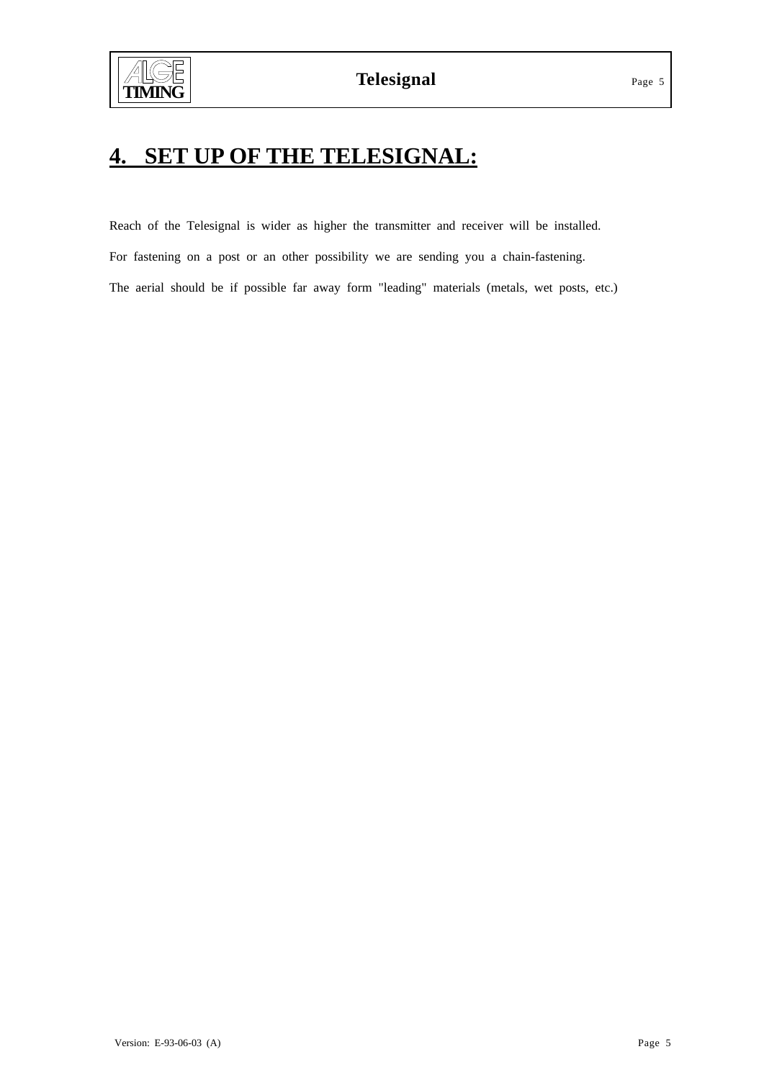# **4. SET UP OF THE TELESIGNAL:**

Reach of the Telesignal is wider as higher the transmitter and receiver will be installed. For fastening on a post or an other possibility we are sending you a chain-fastening. The aerial should be if possible far away form "leading" materials (metals, wet posts, etc.)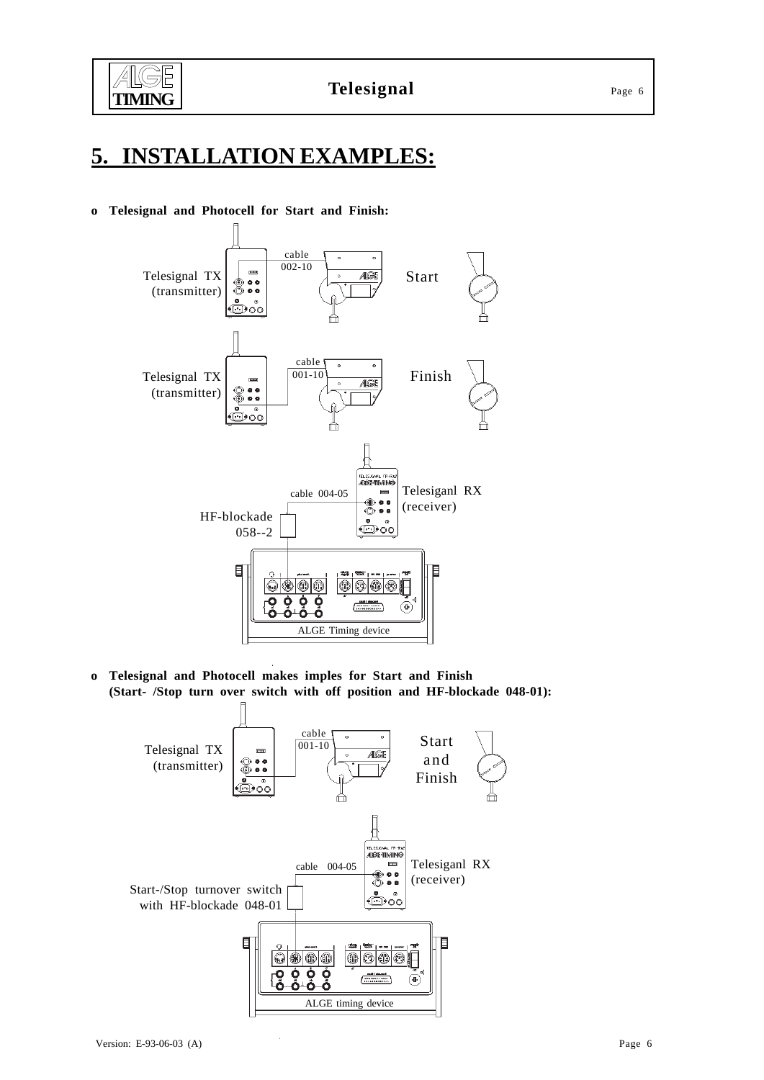

# **5. INSTALLATION EXAMPLES:**

### **o Telesignal and Photocell for Start and Finish:**



**o Telesignal and Photocell makes imples for Start and Finish (Start- /Stop turn over switch with off position and HF-blockade 048-01):**

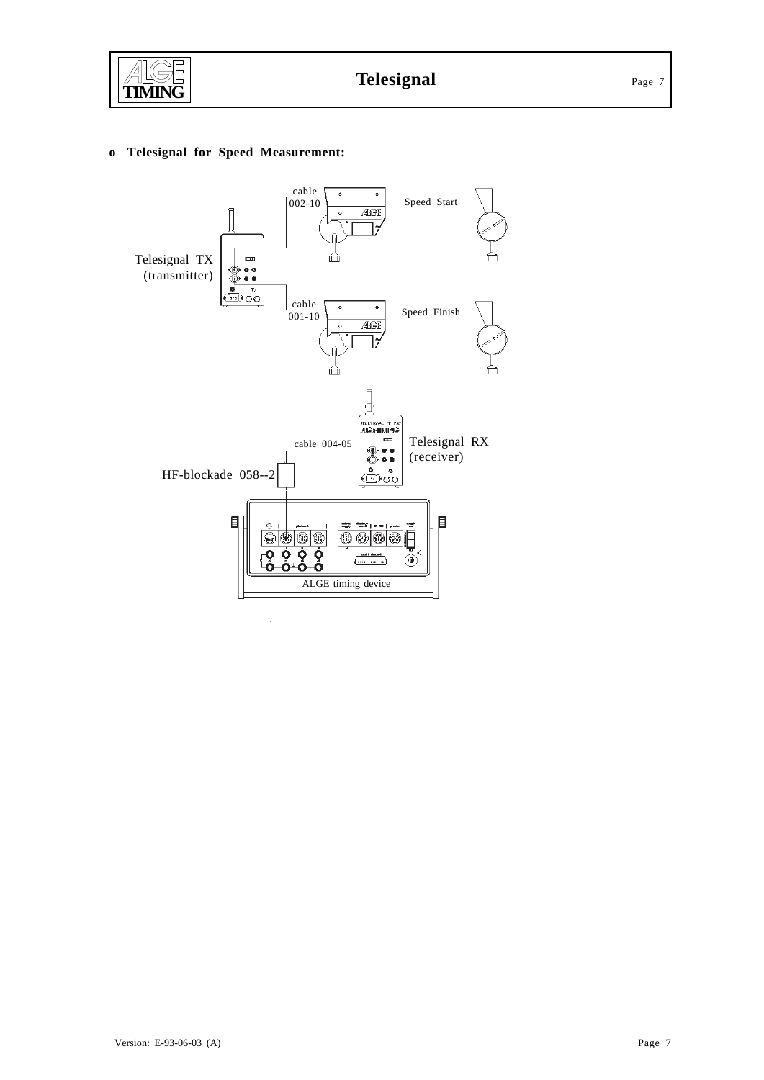

### **o Telesignal for Speed Measurement:**